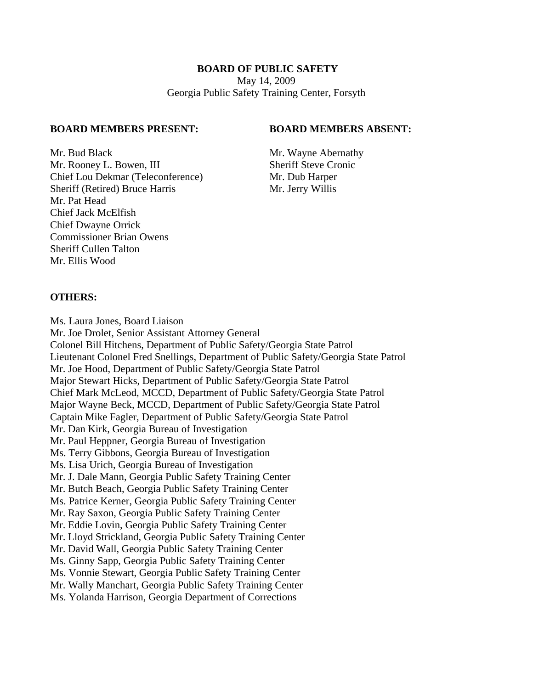## **BOARD OF PUBLIC SAFETY**

May 14, 2009 Georgia Public Safety Training Center, Forsyth

#### **BOARD MEMBERS PRESENT: BOARD MEMBERS ABSENT:**

Mr. Bud Black Mr. Wayne Abernathy Mr. Rooney L. Bowen, III Sheriff Steve Cronic Chief Lou Dekmar (Teleconference) Mr. Dub Harper Sheriff (Retired) Bruce Harris Mr. Jerry Willis Mr. Pat Head Chief Jack McElfish Chief Dwayne Orrick Commissioner Brian Owens Sheriff Cullen Talton Mr. Ellis Wood

## **OTHERS:**

Ms. Laura Jones, Board Liaison Mr. Joe Drolet, Senior Assistant Attorney General Colonel Bill Hitchens, Department of Public Safety/Georgia State Patrol Lieutenant Colonel Fred Snellings, Department of Public Safety/Georgia State Patrol Mr. Joe Hood, Department of Public Safety/Georgia State Patrol Major Stewart Hicks, Department of Public Safety/Georgia State Patrol Chief Mark McLeod, MCCD, Department of Public Safety/Georgia State Patrol Major Wayne Beck, MCCD, Department of Public Safety/Georgia State Patrol Captain Mike Fagler, Department of Public Safety/Georgia State Patrol Mr. Dan Kirk, Georgia Bureau of Investigation Mr. Paul Heppner, Georgia Bureau of Investigation Ms. Terry Gibbons, Georgia Bureau of Investigation Ms. Lisa Urich, Georgia Bureau of Investigation Mr. J. Dale Mann, Georgia Public Safety Training Center Mr. Butch Beach, Georgia Public Safety Training Center Ms. Patrice Kerner, Georgia Public Safety Training Center Mr. Ray Saxon, Georgia Public Safety Training Center Mr. Eddie Lovin, Georgia Public Safety Training Center Mr. Lloyd Strickland, Georgia Public Safety Training Center Mr. David Wall, Georgia Public Safety Training Center Ms. Ginny Sapp, Georgia Public Safety Training Center Ms. Vonnie Stewart, Georgia Public Safety Training Center Mr. Wally Manchart, Georgia Public Safety Training Center Ms. Yolanda Harrison, Georgia Department of Corrections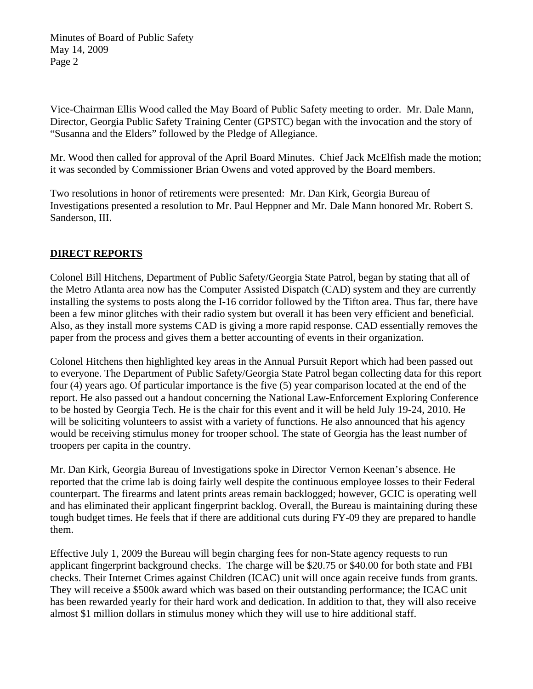Vice-Chairman Ellis Wood called the May Board of Public Safety meeting to order. Mr. Dale Mann, Director, Georgia Public Safety Training Center (GPSTC) began with the invocation and the story of "Susanna and the Elders" followed by the Pledge of Allegiance.

Mr. Wood then called for approval of the April Board Minutes. Chief Jack McElfish made the motion; it was seconded by Commissioner Brian Owens and voted approved by the Board members.

Two resolutions in honor of retirements were presented: Mr. Dan Kirk, Georgia Bureau of Investigations presented a resolution to Mr. Paul Heppner and Mr. Dale Mann honored Mr. Robert S. Sanderson, III.

# **DIRECT REPORTS**

Colonel Bill Hitchens, Department of Public Safety/Georgia State Patrol, began by stating that all of the Metro Atlanta area now has the Computer Assisted Dispatch (CAD) system and they are currently installing the systems to posts along the I-16 corridor followed by the Tifton area. Thus far, there have been a few minor glitches with their radio system but overall it has been very efficient and beneficial. Also, as they install more systems CAD is giving a more rapid response. CAD essentially removes the paper from the process and gives them a better accounting of events in their organization.

Colonel Hitchens then highlighted key areas in the Annual Pursuit Report which had been passed out to everyone. The Department of Public Safety/Georgia State Patrol began collecting data for this report four (4) years ago. Of particular importance is the five (5) year comparison located at the end of the report. He also passed out a handout concerning the National Law-Enforcement Exploring Conference to be hosted by Georgia Tech. He is the chair for this event and it will be held July 19-24, 2010. He will be soliciting volunteers to assist with a variety of functions. He also announced that his agency would be receiving stimulus money for trooper school. The state of Georgia has the least number of troopers per capita in the country.

Mr. Dan Kirk, Georgia Bureau of Investigations spoke in Director Vernon Keenan's absence. He reported that the crime lab is doing fairly well despite the continuous employee losses to their Federal counterpart. The firearms and latent prints areas remain backlogged; however, GCIC is operating well and has eliminated their applicant fingerprint backlog. Overall, the Bureau is maintaining during these tough budget times. He feels that if there are additional cuts during FY-09 they are prepared to handle them.

Effective July 1, 2009 the Bureau will begin charging fees for non-State agency requests to run applicant fingerprint background checks. The charge will be \$20.75 or \$40.00 for both state and FBI checks. Their Internet Crimes against Children (ICAC) unit will once again receive funds from grants. They will receive a \$500k award which was based on their outstanding performance; the ICAC unit has been rewarded yearly for their hard work and dedication. In addition to that, they will also receive almost \$1 million dollars in stimulus money which they will use to hire additional staff.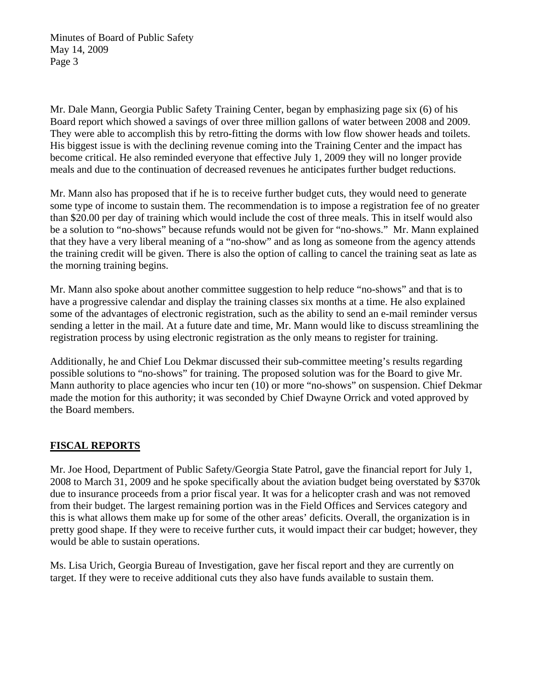Mr. Dale Mann, Georgia Public Safety Training Center, began by emphasizing page six (6) of his Board report which showed a savings of over three million gallons of water between 2008 and 2009. They were able to accomplish this by retro-fitting the dorms with low flow shower heads and toilets. His biggest issue is with the declining revenue coming into the Training Center and the impact has become critical. He also reminded everyone that effective July 1, 2009 they will no longer provide meals and due to the continuation of decreased revenues he anticipates further budget reductions.

Mr. Mann also has proposed that if he is to receive further budget cuts, they would need to generate some type of income to sustain them. The recommendation is to impose a registration fee of no greater than \$20.00 per day of training which would include the cost of three meals. This in itself would also be a solution to "no-shows" because refunds would not be given for "no-shows." Mr. Mann explained that they have a very liberal meaning of a "no-show" and as long as someone from the agency attends the training credit will be given. There is also the option of calling to cancel the training seat as late as the morning training begins.

Mr. Mann also spoke about another committee suggestion to help reduce "no-shows" and that is to have a progressive calendar and display the training classes six months at a time. He also explained some of the advantages of electronic registration, such as the ability to send an e-mail reminder versus sending a letter in the mail. At a future date and time, Mr. Mann would like to discuss streamlining the registration process by using electronic registration as the only means to register for training.

Additionally, he and Chief Lou Dekmar discussed their sub-committee meeting's results regarding possible solutions to "no-shows" for training. The proposed solution was for the Board to give Mr. Mann authority to place agencies who incur ten (10) or more "no-shows" on suspension. Chief Dekmar made the motion for this authority; it was seconded by Chief Dwayne Orrick and voted approved by the Board members.

# **FISCAL REPORTS**

Mr. Joe Hood, Department of Public Safety/Georgia State Patrol, gave the financial report for July 1, 2008 to March 31, 2009 and he spoke specifically about the aviation budget being overstated by \$370k due to insurance proceeds from a prior fiscal year. It was for a helicopter crash and was not removed from their budget. The largest remaining portion was in the Field Offices and Services category and this is what allows them make up for some of the other areas' deficits. Overall, the organization is in pretty good shape. If they were to receive further cuts, it would impact their car budget; however, they would be able to sustain operations.

Ms. Lisa Urich, Georgia Bureau of Investigation, gave her fiscal report and they are currently on target. If they were to receive additional cuts they also have funds available to sustain them.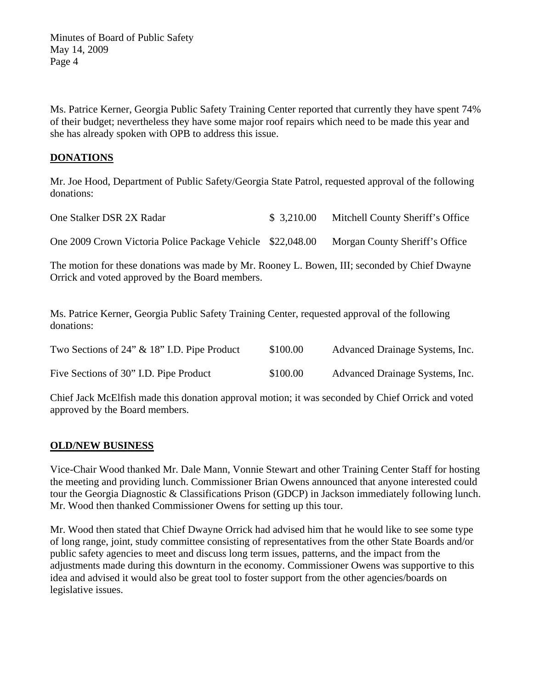Ms. Patrice Kerner, Georgia Public Safety Training Center reported that currently they have spent 74% of their budget; nevertheless they have some major roof repairs which need to be made this year and she has already spoken with OPB to address this issue.

## **DONATIONS**

Mr. Joe Hood, Department of Public Safety/Georgia State Patrol, requested approval of the following donations:

| One Stalker DSR 2X Radar                                   | \$3,210.00 | Mitchell County Sheriff's Office |
|------------------------------------------------------------|------------|----------------------------------|
| One 2009 Crown Victoria Police Package Vehicle \$22,048.00 |            | Morgan County Sheriff's Office   |

The motion for these donations was made by Mr. Rooney L. Bowen, III; seconded by Chief Dwayne Orrick and voted approved by the Board members.

Ms. Patrice Kerner, Georgia Public Safety Training Center, requested approval of the following donations:

| Two Sections of $24$ " & $18$ " I.D. Pipe Product | \$100.00 | Advanced Drainage Systems, Inc. |
|---------------------------------------------------|----------|---------------------------------|
| Five Sections of 30" I.D. Pipe Product            | \$100.00 | Advanced Drainage Systems, Inc. |

Chief Jack McElfish made this donation approval motion; it was seconded by Chief Orrick and voted approved by the Board members.

## **OLD/NEW BUSINESS**

Vice-Chair Wood thanked Mr. Dale Mann, Vonnie Stewart and other Training Center Staff for hosting the meeting and providing lunch. Commissioner Brian Owens announced that anyone interested could tour the Georgia Diagnostic & Classifications Prison (GDCP) in Jackson immediately following lunch. Mr. Wood then thanked Commissioner Owens for setting up this tour.

Mr. Wood then stated that Chief Dwayne Orrick had advised him that he would like to see some type of long range, joint, study committee consisting of representatives from the other State Boards and/or public safety agencies to meet and discuss long term issues, patterns, and the impact from the adjustments made during this downturn in the economy. Commissioner Owens was supportive to this idea and advised it would also be great tool to foster support from the other agencies/boards on legislative issues.